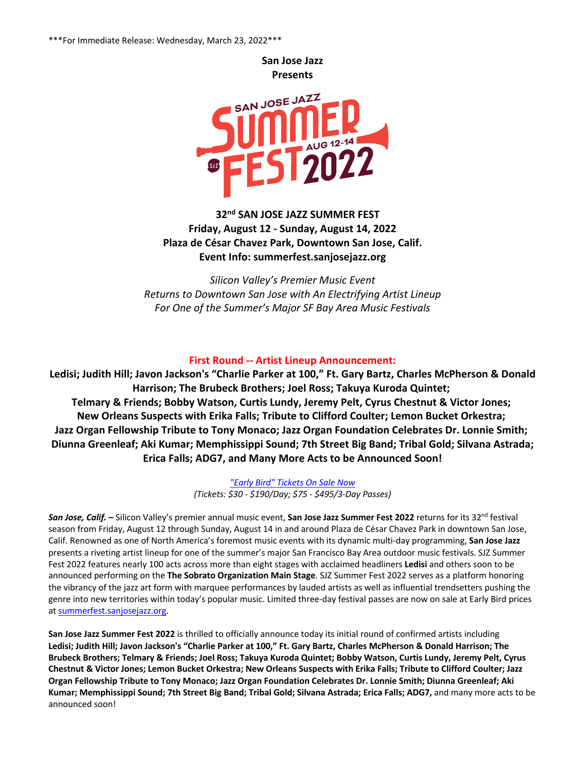**San Jose Jazz Presents** 



 **32nd SAN JOSE JAZZ SUMMER FEST Friday, August 12 - Sunday, August 14, 2022 Plaza de César Chavez Park, Downtown San Jose, Calif. Event Info: summerfest.sanjosejazz.org**

*Silicon Valley's Premier Music Event Returns to Downtown San Jose with An Electrifying Artist Lineup For One of the Summer's Major SF Bay Area Music Festivals* 

# **First Round -- Artist Lineup Announcement:**

**Ledisi; Judith Hill; Javon Jackson's "Charlie Parker at 100," Ft. Gary Bartz, Charles McPherson & Donald Harrison; The Brubeck Brothers; Joel Ross; Takuya Kuroda Quintet; Telmary & Friends; Bobby Watson, Curtis Lundy, Jeremy Pelt, Cyrus Chestnut & Victor Jones; New Orleans Suspects with Erika Falls; Tribute to Clifford Coulter; Lemon Bucket Orkestra; Jazz Organ Fellowship Tribute to Tony Monaco; Jazz Organ Foundation Celebrates Dr. Lonnie Smith; Diunna Greenleaf; Aki Kumar; Memphissippi Sound; 7th Street Big Band; Tribal Gold; Silvana Astrada; Erica Falls; ADG7, and Many More Acts to be Announced Soon!**

> *"Early Bird" Tickets On Sale Now (Tickets: \$30 - \$190/Day; \$75 - \$495/3-Day Passes)*

*San Jose, Calif.* **–** Silicon Valley's premier annual music event, **San Jose Jazz Summer Fest 2022** returns for its 32nd festival season from Friday, August 12 through Sunday, August 14 in and around Plaza de César Chavez Park in downtown San Jose, Calif. Renowned as one of North America's foremost music events with its dynamic multi-day programming, **San Jose Jazz** presents a riveting artist lineup for one of the summer's major San Francisco Bay Area outdoor music festivals. SJZ Summer Fest 2022 features nearly 100 acts across more than eight stages with acclaimed headliners **Ledisi** and others soon to be announced performing on the **The Sobrato Organization Main Stage**. SJZ Summer Fest 2022 serves as a platform honoring the vibrancy of the jazz art form with marquee performances by lauded artists as well as influential trendsetters pushing the genre into new territories within today's popular music. Limited three-day festival passes are now on sale at Early Bird prices at summerfest.sanjosejazz.org.

**San Jose Jazz Summer Fest 2022** is thrilled to officially announce today its initial round of confirmed artists including **Ledisi; Judith Hill; Javon Jackson's "Charlie Parker at 100," Ft. Gary Bartz, Charles McPherson & Donald Harrison; The Brubeck Brothers; Telmary & Friends; Joel Ross; Takuya Kuroda Quintet; Bobby Watson, Curtis Lundy, Jeremy Pelt, Cyrus Chestnut & Victor Jones; Lemon Bucket Orkestra; New Orleans Suspects with Erika Falls; Tribute to Clifford Coulter; Jazz Organ Fellowship Tribute to Tony Monaco; Jazz Organ Foundation Celebrates Dr. Lonnie Smith; Diunna Greenleaf; Aki Kumar; Memphissippi Sound; 7th Street Big Band; Tribal Gold; Silvana Astrada; Erica Falls; ADG7,** and many more acts to be announced soon!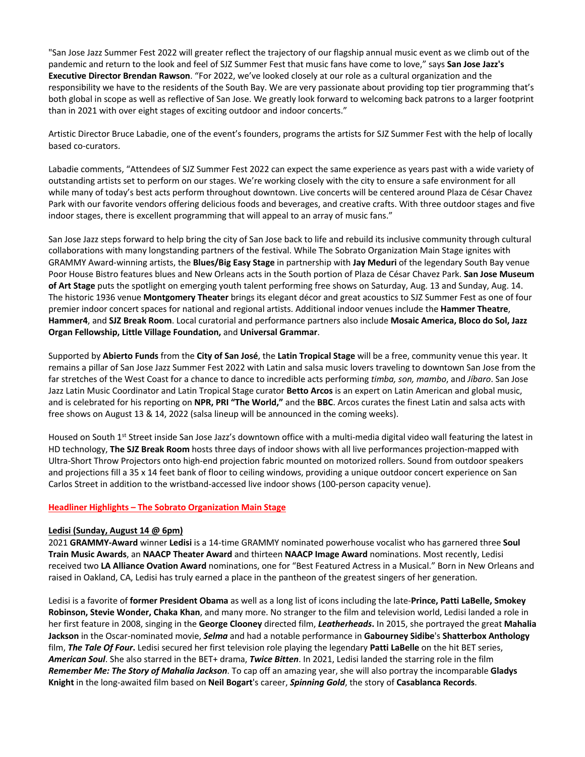"San Jose Jazz Summer Fest 2022 will greater reflect the trajectory of our flagship annual music event as we climb out of the pandemic and return to the look and feel of SJZ Summer Fest that music fans have come to love," says **San Jose Jazz's Executive Director Brendan Rawson**. "For 2022, we've looked closely at our role as a cultural organization and the responsibility we have to the residents of the South Bay. We are very passionate about providing top tier programming that's both global in scope as well as reflective of San Jose. We greatly look forward to welcoming back patrons to a larger footprint than in 2021 with over eight stages of exciting outdoor and indoor concerts."

Artistic Director Bruce Labadie, one of the event's founders, programs the artists for SJZ Summer Fest with the help of locally based co-curators.

Labadie comments, "Attendees of SJZ Summer Fest 2022 can expect the same experience as years past with a wide variety of outstanding artists set to perform on our stages. We're working closely with the city to ensure a safe environment for all while many of today's best acts perform throughout downtown. Live concerts will be centered around Plaza de César Chavez Park with our favorite vendors offering delicious foods and beverages, and creative crafts. With three outdoor stages and five indoor stages, there is excellent programming that will appeal to an array of music fans."

San Jose Jazz steps forward to help bring the city of San Jose back to life and rebuild its inclusive community through cultural collaborations with many longstanding partners of the festival. While The Sobrato Organization Main Stage ignites with GRAMMY Award-winning artists, the **Blues/Big Easy Stage** in partnership with **Jay Meduri** of the legendary South Bay venue Poor House Bistro features blues and New Orleans acts in the South portion of Plaza de César Chavez Park. **San Jose Museum of Art Stage** puts the spotlight on emerging youth talent performing free shows on Saturday, Aug. 13 and Sunday, Aug. 14. The historic 1936 venue **Montgomery Theater** brings its elegant décor and great acoustics to SJZ Summer Fest as one of four premier indoor concert spaces for national and regional artists. Additional indoor venues include the **Hammer Theatre**, **Hammer4**, and **SJZ Break Room**. Local curatorial and performance partners also include **Mosaic America, Bloco do Sol, Jazz Organ Fellowship, Little Village Foundation,** and **Universal Grammar**.

Supported by **Abierto Funds** from the **City of San José**, the **Latin Tropical Stage** will be a free, community venue this year. It remains a pillar of San Jose Jazz Summer Fest 2022 with Latin and salsa music lovers traveling to downtown San Jose from the far stretches of the West Coast for a chance to dance to incredible acts performing *timba, son, mambo*, and *Jíbaro*. San Jose Jazz Latin Music Coordinator and Latin Tropical Stage curator **Betto Arcos** is an expert on Latin American and global music, and is celebrated for his reporting on **NPR, PRI "The World,"** and the **BBC**. Arcos curates the finest Latin and salsa acts with free shows on August 13 & 14, 2022 (salsa lineup will be announced in the coming weeks).

Housed on South 1<sup>st</sup> Street inside San Jose Jazz's downtown office with a multi-media digital video wall featuring the latest in HD technology, **The SJZ Break Room** hosts three days of indoor shows with all live performances projection-mapped with Ultra-Short Throw Projectors onto high-end projection fabric mounted on motorized rollers. Sound from outdoor speakers and projections fill a 35 x 14 feet bank of floor to ceiling windows, providing a unique outdoor concert experience on San Carlos Street in addition to the wristband-accessed live indoor shows (100-person capacity venue).

# **Headliner Highlights – The Sobrato Organization Main Stage**

#### **Ledisi (Sunday, August 14 @ 6pm)**

2021 **GRAMMY-Award** winner **Ledisi** is a 14-time GRAMMY nominated powerhouse vocalist who has garnered three **Soul Train Music Awards**, an **NAACP Theater Award** and thirteen **NAACP Image Award** nominations. Most recently, Ledisi received two **LA Alliance Ovation Award** nominations, one for "Best Featured Actress in a Musical." Born in New Orleans and raised in Oakland, CA, Ledisi has truly earned a place in the pantheon of the greatest singers of her generation.

Ledisi is a favorite of **former President Obama** as well as a long list of icons including the late-**Prince, Patti LaBelle, Smokey Robinson, Stevie Wonder, Chaka Khan**, and many more. No stranger to the film and television world, Ledisi landed a role in her first feature in 2008, singing in the **George Clooney** directed film, *Leatherheads***.** In 2015, she portrayed the great **Mahalia Jackson** in the Oscar-nominated movie, *Selma* and had a notable performance in **Gabourney Sidibe**'s **Shatterbox Anthology** film, *The Tale Of Four***.** Ledisi secured her first television role playing the legendary **Patti LaBelle** on the hit BET series, *American Soul*. She also starred in the BET+ drama, *Twice Bitten*. In 2021, Ledisi landed the starring role in the film *Remember Me: The Story of Mahalia Jackson*. To cap off an amazing year, she will also portray the incomparable **Gladys Knight** in the long-awaited film based on **Neil Bogart**'s career, *Spinning Gold*, the story of **Casablanca Records**.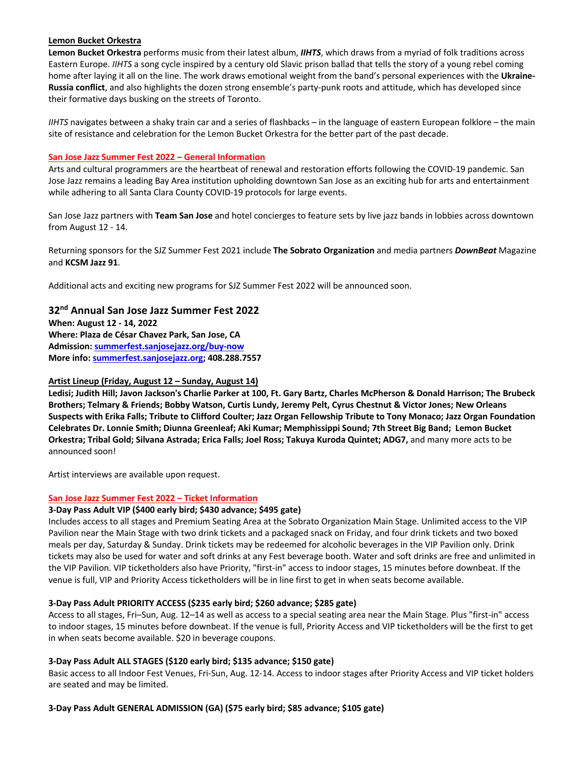#### **Lemon Bucket Orkestra**

**Lemon Bucket Orkestra** performs music from their latest album, *IIHTS*, which draws from a myriad of folk traditions across Eastern Europe. *IIHTS* a song cycle inspired by a century old Slavic prison ballad that tells the story of a young rebel coming home after laying it all on the line. The work draws emotional weight from the band's personal experiences with the **Ukraine-Russia conflict**, and also highlights the dozen strong ensemble's party-punk roots and attitude, which has developed since their formative days busking on the streets of Toronto.

*IIHTS* navigates between a shaky train car and a series of flashbacks – in the language of eastern European folklore – the main site of resistance and celebration for the Lemon Bucket Orkestra for the better part of the past decade.

#### **San Jose Jazz Summer Fest 2022 – General Information**

Arts and cultural programmers are the heartbeat of renewal and restoration efforts following the COVID-19 pandemic. San Jose Jazz remains a leading Bay Area institution upholding downtown San Jose as an exciting hub for arts and entertainment while adhering to all Santa Clara County COVID-19 protocols for large events.

San Jose Jazz partners with **Team San Jose** and hotel concierges to feature sets by live jazz bands in lobbies across downtown from August 12 - 14.

Returning sponsors for the SJZ Summer Fest 2021 include **The Sobrato Organization** and media partners *DownBeat* Magazine and **KCSM Jazz 91**.

Additional acts and exciting new programs for SJZ Summer Fest 2022 will be announced soon.

# **32nd Annual San Jose Jazz Summer Fest 2022**

**When: August 12 - 14, 2022 Where: Plaza de César Chavez Park, San Jose, CA Admission: summerfest.sanjosejazz.org/buy-now More info: summerfest.sanjosejazz.org; 408.288.7557**

# **Artist Lineup (Friday, August 12 – Sunday, August 14)**

**Ledisi; Judith Hill; Javon Jackson's Charlie Parker at 100, Ft. Gary Bartz, Charles McPherson & Donald Harrison; The Brubeck Brothers; Telmary & Friends; Bobby Watson, Curtis Lundy, Jeremy Pelt, Cyrus Chestnut & Victor Jones; New Orleans Suspects with Erika Falls; Tribute to Clifford Coulter; Jazz Organ Fellowship Tribute to Tony Monaco; Jazz Organ Foundation Celebrates Dr. Lonnie Smith; Diunna Greenleaf; Aki Kumar; Memphissippi Sound; 7th Street Big Band; Lemon Bucket Orkestra; Tribal Gold; Silvana Astrada; Erica Falls; Joel Ross; Takuya Kuroda Quintet; ADG7,** and many more acts to be announced soon!

Artist interviews are available upon request.

# **San Jose Jazz Summer Fest 2022 – Ticket Information**

#### **3-Day Pass Adult VIP (\$400 early bird; \$430 advance; \$495 gate)**

Includes access to all stages and Premium Seating Area at the Sobrato Organization Main Stage. Unlimited access to the VIP Pavilion near the Main Stage with two drink tickets and a packaged snack on Friday, and four drink tickets and two boxed meals per day, Saturday & Sunday. Drink tickets may be redeemed for alcoholic beverages in the VIP Pavilion only. Drink tickets may also be used for water and soft drinks at any Fest beverage booth. Water and soft drinks are free and unlimited in the VIP Pavilion. VIP ticketholders also have Priority, "first-in" access to indoor stages, 15 minutes before downbeat. If the venue is full, VIP and Priority Access ticketholders will be in line first to get in when seats become available.

#### **3-Day Pass Adult PRIORITY ACCESS (\$235 early bird; \$260 advance; \$285 gate)**

Access to all stages, Fri–Sun, Aug. 12–14 as well as access to a special seating area near the Main Stage. Plus "first-in" access to indoor stages, 15 minutes before downbeat. If the venue is full, Priority Access and VIP ticketholders will be the first to get in when seats become available. \$20 in beverage coupons.

### **3-Day Pass Adult ALL STAGES (\$120 early bird; \$135 advance; \$150 gate)**

Basic access to all Indoor Fest Venues, Fri-Sun, Aug. 12-14. Access to indoor stages after Priority Access and VIP ticket holders are seated and may be limited.

**3-Day Pass Adult GENERAL ADMISSION (GA) (\$75 early bird; \$85 advance; \$105 gate)**